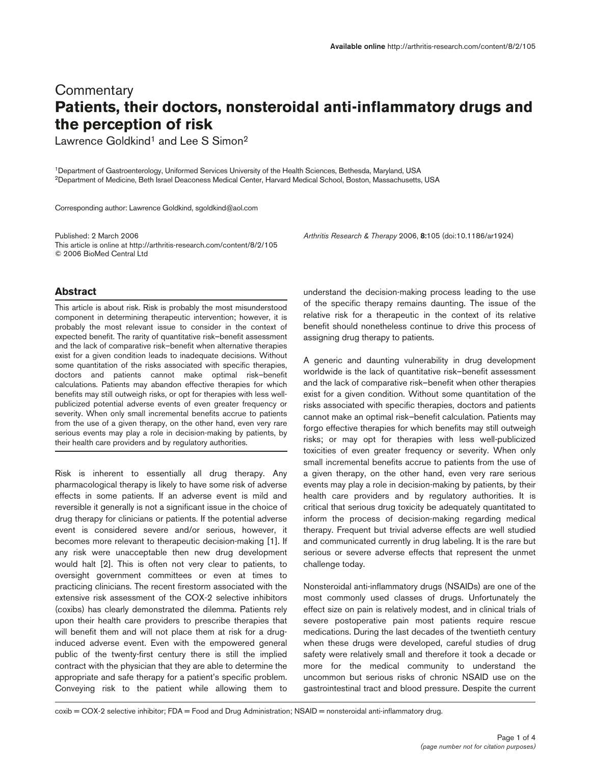## **Commentary Patients, their doctors, nonsteroidal anti-inflammatory drugs and the perception of risk**

Lawrence Goldkind<sup>1</sup> and Lee S Simon<sup>2</sup>

1Department of Gastroenterology, Uniformed Services University of the Health Sciences, Bethesda, Maryland, USA 2Department of Medicine, Beth Israel Deaconess Medical Center, Harvard Medical School, Boston, Massachusetts, USA

Corresponding author: Lawrence Goldkind, sgoldkind@aol.com

Published: 2 March 2006 *Arthritis Research & Therapy* 2006, **8:**105 (doi:10.1186/ar1924) This article is online at http://arthritis-research.com/content/8/2/105 © 2006 BioMed Central Ltd

## **Abstract**

This article is about risk. Risk is probably the most misunderstood component in determining therapeutic intervention; however, it is probably the most relevant issue to consider in the context of expected benefit. The rarity of quantitative risk–benefit assessment and the lack of comparative risk–benefit when alternative therapies exist for a given condition leads to inadequate decisions. Without some quantitation of the risks associated with specific therapies, doctors and patients cannot make optimal risk–benefit calculations. Patients may abandon effective therapies for which benefits may still outweigh risks, or opt for therapies with less wellpublicized potential adverse events of even greater frequency or severity. When only small incremental benefits accrue to patients from the use of a given therapy, on the other hand, even very rare serious events may play a role in decision-making by patients, by their health care providers and by regulatory authorities.

Risk is inherent to essentially all drug therapy. Any pharmacological therapy is likely to have some risk of adverse effects in some patients. If an adverse event is mild and reversible it generally is not a significant issue in the choice of drug therapy for clinicians or patients. If the potential adverse event is considered severe and/or serious, however, it becomes more relevant to therapeutic decision-making [1]. If any risk were unacceptable then new drug development would halt [2]. This is often not very clear to patients, to oversight government committees or even at times to practicing clinicians. The recent firestorm associated with the extensive risk assessment of the COX-2 selective inhibitors (coxibs) has clearly demonstrated the dilemma. Patients rely upon their health care providers to prescribe therapies that will benefit them and will not place them at risk for a druginduced adverse event. Even with the empowered general public of the twenty-first century there is still the implied contract with the physician that they are able to determine the appropriate and safe therapy for a patient's specific problem. Conveying risk to the patient while allowing them to

understand the decision-making process leading to the use of the specific therapy remains daunting. The issue of the relative risk for a therapeutic in the context of its relative benefit should nonetheless continue to drive this process of assigning drug therapy to patients.

A generic and daunting vulnerability in drug development worldwide is the lack of quantitative risk–benefit assessment and the lack of comparative risk–benefit when other therapies exist for a given condition. Without some quantitation of the risks associated with specific therapies, doctors and patients cannot make an optimal risk–benefit calculation. Patients may forgo effective therapies for which benefits may still outweigh risks; or may opt for therapies with less well-publicized toxicities of even greater frequency or severity. When only small incremental benefits accrue to patients from the use of a given therapy, on the other hand, even very rare serious events may play a role in decision-making by patients, by their health care providers and by regulatory authorities. It is critical that serious drug toxicity be adequately quantitated to inform the process of decision-making regarding medical therapy. Frequent but trivial adverse effects are well studied and communicated currently in drug labeling. It is the rare but serious or severe adverse effects that represent the unmet challenge today.

Nonsteroidal anti-inflammatory drugs (NSAIDs) are one of the most commonly used classes of drugs. Unfortunately the effect size on pain is relatively modest, and in clinical trials of severe postoperative pain most patients require rescue medications. During the last decades of the twentieth century when these drugs were developed, careful studies of drug safety were relatively small and therefore it took a decade or more for the medical community to understand the uncommon but serious risks of chronic NSAID use on the gastrointestinal tract and blood pressure. Despite the current

coxib = COX-2 selective inhibitor; FDA = Food and Drug Administration; NSAID = nonsteroidal anti-inflammatory drug.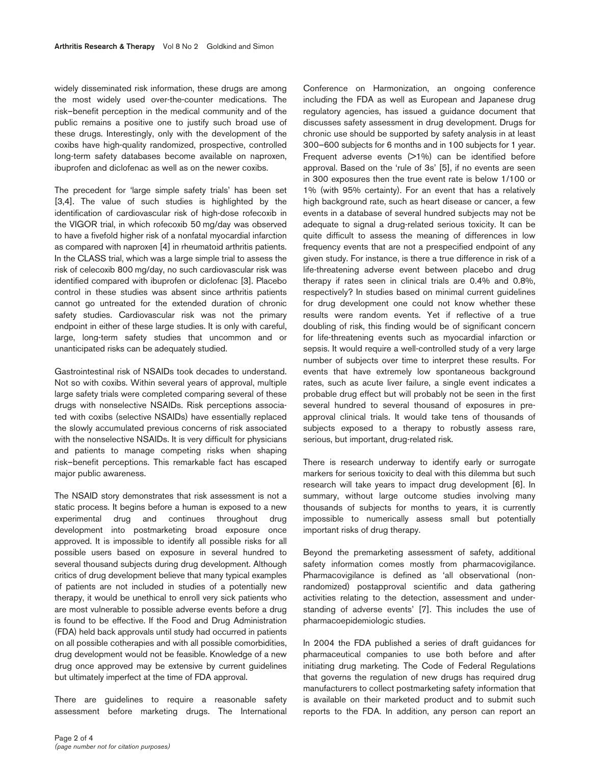widely disseminated risk information, these drugs are among the most widely used over-the-counter medications. The risk–benefit perception in the medical community and of the public remains a positive one to justify such broad use of these drugs. Interestingly, only with the development of the coxibs have high-quality randomized, prospective, controlled long-term safety databases become available on naproxen, ibuprofen and diclofenac as well as on the newer coxibs.

The precedent for 'large simple safety trials' has been set [3,4]. The value of such studies is highlighted by the identification of cardiovascular risk of high-dose rofecoxib in the VIGOR trial, in which rofecoxib 50 mg/day was observed to have a fivefold higher risk of a nonfatal myocardial infarction as compared with naproxen [4] in rheumatoid arthritis patients. In the CLASS trial, which was a large simple trial to assess the risk of celecoxib 800 mg/day, no such cardiovascular risk was identified compared with ibuprofen or diclofenac [3]. Placebo control in these studies was absent since arthritis patients cannot go untreated for the extended duration of chronic safety studies. Cardiovascular risk was not the primary endpoint in either of these large studies. It is only with careful, large, long-term safety studies that uncommon and or unanticipated risks can be adequately studied.

Gastrointestinal risk of NSAIDs took decades to understand. Not so with coxibs. Within several years of approval, multiple large safety trials were completed comparing several of these drugs with nonselective NSAIDs. Risk perceptions associated with coxibs (selective NSAIDs) have essentially replaced the slowly accumulated previous concerns of risk associated with the nonselective NSAIDs. It is very difficult for physicians and patients to manage competing risks when shaping risk–benefit perceptions. This remarkable fact has escaped major public awareness.

The NSAID story demonstrates that risk assessment is not a static process. It begins before a human is exposed to a new experimental drug and continues throughout drug development into postmarketing broad exposure once approved. It is impossible to identify all possible risks for all possible users based on exposure in several hundred to several thousand subjects during drug development. Although critics of drug development believe that many typical examples of patients are not included in studies of a potentially new therapy, it would be unethical to enroll very sick patients who are most vulnerable to possible adverse events before a drug is found to be effective. If the Food and Drug Administration (FDA) held back approvals until study had occurred in patients on all possible cotherapies and with all possible comorbidities, drug development would not be feasible. Knowledge of a new drug once approved may be extensive by current guidelines but ultimately imperfect at the time of FDA approval.

There are guidelines to require a reasonable safety assessment before marketing drugs. The International

Conference on Harmonization, an ongoing conference including the FDA as well as European and Japanese drug regulatory agencies, has issued a guidance document that discusses safety assessment in drug development. Drugs for chronic use should be supported by safety analysis in at least 300–600 subjects for 6 months and in 100 subjects for 1 year. Frequent adverse events (>1%) can be identified before approval. Based on the 'rule of 3s' [5], if no events are seen in 300 exposures then the true event rate is below 1/100 or 1% (with 95% certainty). For an event that has a relatively high background rate, such as heart disease or cancer, a few events in a database of several hundred subjects may not be adequate to signal a drug-related serious toxicity. It can be quite difficult to assess the meaning of differences in low frequency events that are not a prespecified endpoint of any given study. For instance, is there a true difference in risk of a life-threatening adverse event between placebo and drug therapy if rates seen in clinical trials are 0.4% and 0.8%, respectively? In studies based on minimal current guidelines for drug development one could not know whether these results were random events. Yet if reflective of a true doubling of risk, this finding would be of significant concern for life-threatening events such as myocardial infarction or sepsis. It would require a well-controlled study of a very large number of subjects over time to interpret these results. For events that have extremely low spontaneous background rates, such as acute liver failure, a single event indicates a probable drug effect but will probably not be seen in the first several hundred to several thousand of exposures in preapproval clinical trials. It would take tens of thousands of subjects exposed to a therapy to robustly assess rare, serious, but important, drug-related risk.

There is research underway to identify early or surrogate markers for serious toxicity to deal with this dilemma but such research will take years to impact drug development [6]. In summary, without large outcome studies involving many thousands of subjects for months to years, it is currently impossible to numerically assess small but potentially important risks of drug therapy.

Beyond the premarketing assessment of safety, additional safety information comes mostly from pharmacovigilance. Pharmacovigilance is defined as 'all observational (nonrandomized) postapproval scientific and data gathering activities relating to the detection, assessment and understanding of adverse events' [7]. This includes the use of pharmacoepidemiologic studies.

In 2004 the FDA published a series of draft guidances for pharmaceutical companies to use both before and after initiating drug marketing. The Code of Federal Regulations that governs the regulation of new drugs has required drug manufacturers to collect postmarketing safety information that is available on their marketed product and to submit such reports to the FDA. In addition, any person can report an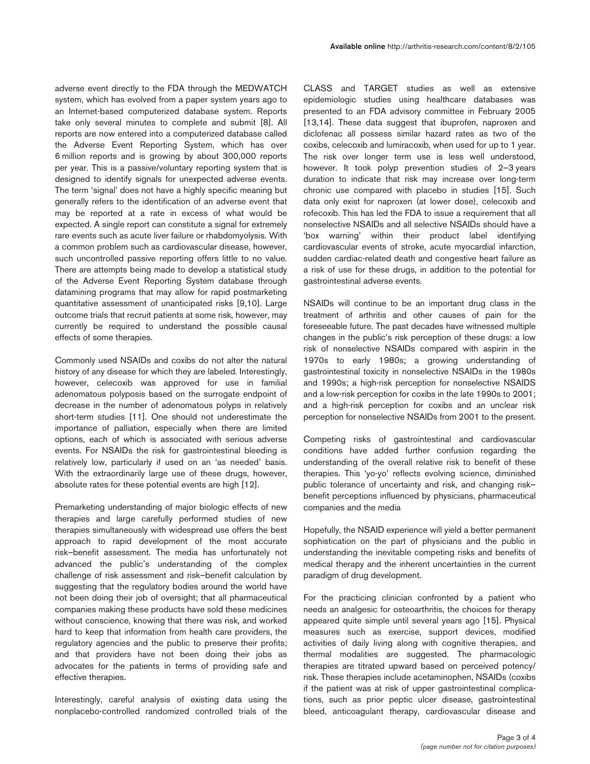adverse event directly to the FDA through the MEDWATCH system, which has evolved from a paper system years ago to an Internet-based computerized database system. Reports take only several minutes to complete and submit [8]. All reports are now entered into a computerized database called the Adverse Event Reporting System, which has over 6 million reports and is growing by about 300,000 reports per year. This is a passive/voluntary reporting system that is designed to identify signals for unexpected adverse events. The term 'signal' does not have a highly specific meaning but generally refers to the identification of an adverse event that may be reported at a rate in excess of what would be expected. A single report can constitute a signal for extremely rare events such as acute liver failure or rhabdomyolysis. With a common problem such as cardiovascular disease, however, such uncontrolled passive reporting offers little to no value. There are attempts being made to develop a statistical study of the Adverse Event Reporting System database through datamining programs that may allow for rapid postmarketing quantitative assessment of unanticipated risks [9,10]. Large outcome trials that recruit patients at some risk, however, may currently be required to understand the possible causal effects of some therapies.

Commonly used NSAIDs and coxibs do not alter the natural history of any disease for which they are labeled. Interestingly, however, celecoxib was approved for use in familial adenomatous polyposis based on the surrogate endpoint of decrease in the number of adenomatous polyps in relatively short-term studies [11]. One should not underestimate the importance of palliation, especially when there are limited options, each of which is associated with serious adverse events. For NSAIDs the risk for gastrointestinal bleeding is relatively low, particularly if used on an 'as needed' basis. With the extraordinarily large use of these drugs, however, absolute rates for these potential events are high [12].

Premarketing understanding of major biologic effects of new therapies and large carefully performed studies of new therapies simultaneously with widespread use offers the best approach to rapid development of the most accurate risk–benefit assessment. The media has unfortunately not advanced the public's understanding of the complex challenge of risk assessment and risk–benefit calculation by suggesting that the regulatory bodies around the world have not been doing their job of oversight; that all pharmaceutical companies making these products have sold these medicines without conscience, knowing that there was risk, and worked hard to keep that information from health care providers, the regulatory agencies and the public to preserve their profits; and that providers have not been doing their jobs as advocates for the patients in terms of providing safe and effective therapies.

Interestingly, careful analysis of existing data using the nonplacebo-controlled randomized controlled trials of the CLASS and TARGET studies as well as extensive epidemiologic studies using healthcare databases was presented to an FDA advisory committee in February 2005 [13,14]. These data suggest that ibuprofen, naproxen and diclofenac all possess similar hazard rates as two of the coxibs, celecoxib and lumiracoxib, when used for up to 1 year. The risk over longer term use is less well understood, however. It took polyp prevention studies of 2–3 years duration to indicate that risk may increase over long-term chronic use compared with placebo in studies [15]. Such data only exist for naproxen (at lower dose), celecoxib and rofecoxib. This has led the FDA to issue a requirement that all nonselective NSAIDs and all selective NSAIDs should have a 'box warning' within their product label identifying cardiovascular events of stroke, acute myocardial infarction, sudden cardiac-related death and congestive heart failure as a risk of use for these drugs, in addition to the potential for gastrointestinal adverse events.

NSAIDs will continue to be an important drug class in the treatment of arthritis and other causes of pain for the foreseeable future. The past decades have witnessed multiple changes in the public's risk perception of these drugs: a low risk of nonselective NSAIDs compared with aspirin in the 1970s to early 1980s; a growing understanding of gastrointestinal toxicity in nonselective NSAIDs in the 1980s and 1990s; a high-risk perception for nonselective NSAIDS and a low-risk perception for coxibs in the late 1990s to 2001; and a high-risk perception for coxibs and an unclear risk perception for nonselective NSAIDs from 2001 to the present.

Competing risks of gastrointestinal and cardiovascular conditions have added further confusion regarding the understanding of the overall relative risk to benefit of these therapies. This 'yo-yo' reflects evolving science, diminished public tolerance of uncertainty and risk, and changing risk– benefit perceptions influenced by physicians, pharmaceutical companies and the media

Hopefully, the NSAID experience will yield a better permanent sophistication on the part of physicians and the public in understanding the inevitable competing risks and benefits of medical therapy and the inherent uncertainties in the current paradigm of drug development.

For the practicing clinician confronted by a patient who needs an analgesic for osteoarthritis, the choices for therapy appeared quite simple until several years ago [15]. Physical measures such as exercise, support devices, modified activities of daily living along with cognitive therapies, and thermal modalities are suggested. The pharmacologic therapies are titrated upward based on perceived potency/ risk. These therapies include acetaminophen, NSAIDs (coxibs if the patient was at risk of upper gastrointestinal complications, such as prior peptic ulcer disease, gastrointestinal bleed, anticoagulant therapy, cardiovascular disease and